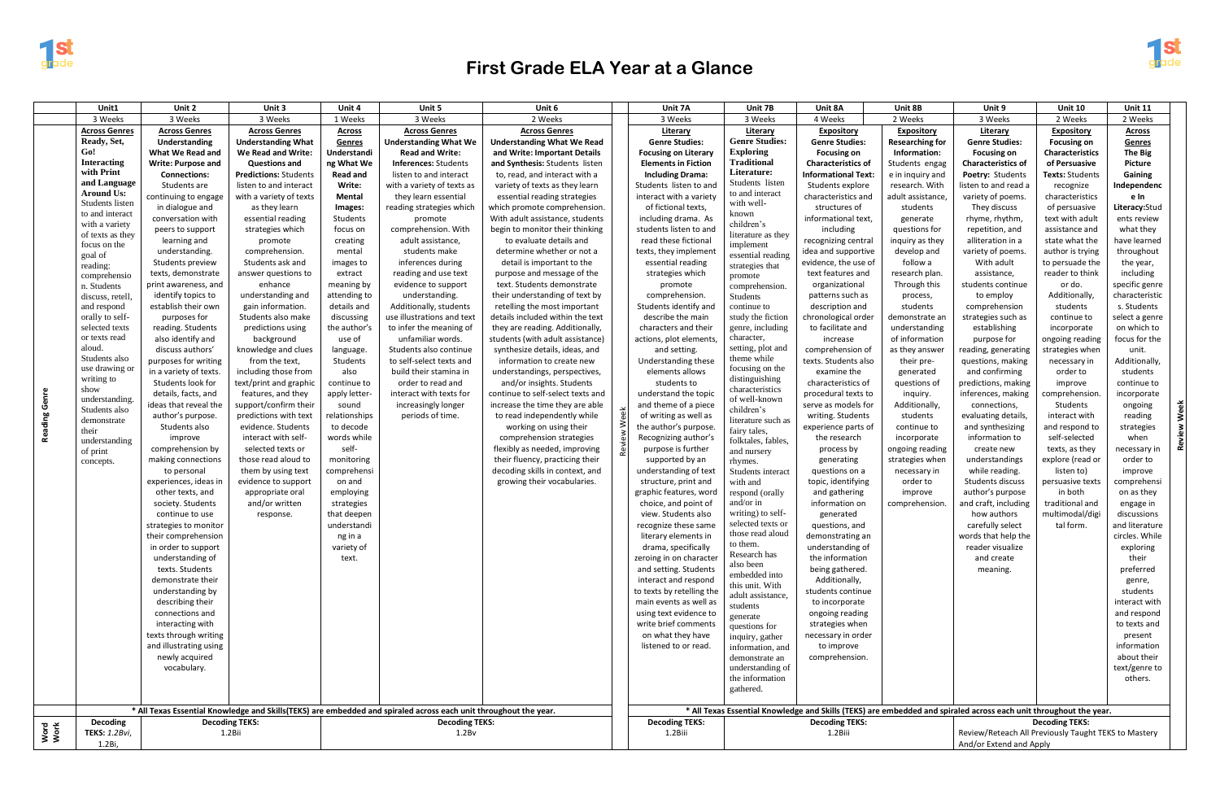

## **First Grade ELA Year at a Glance**

|              | Unit1                                                                                                            | Unit 2                                    | Unit 3                                   | Unit 4                    | Unit 5                                    | Unit 6                                                                                                            |                                                | Unit 7A                                                                                               | Unit 7B                             | Unit 8A                                   | Unit 8B                         | Unit 9                           | <b>Unit 10</b>                     | Unit 11                  |
|--------------|------------------------------------------------------------------------------------------------------------------|-------------------------------------------|------------------------------------------|---------------------------|-------------------------------------------|-------------------------------------------------------------------------------------------------------------------|------------------------------------------------|-------------------------------------------------------------------------------------------------------|-------------------------------------|-------------------------------------------|---------------------------------|----------------------------------|------------------------------------|--------------------------|
|              | 3 Weeks                                                                                                          | 3 Weeks                                   | 3 Weeks                                  | 1 Weeks                   | 3 Weeks                                   | 2 Weeks                                                                                                           |                                                | 3 Weeks                                                                                               | 3 Weeks                             | 4 Weeks                                   | 2 Weeks                         | 3 Weeks                          | 2 Weeks                            | 2 Weeks                  |
|              | <b>Across Genres</b>                                                                                             | <b>Across Genres</b>                      | <b>Across Genres</b>                     | <b>Across</b>             | <b>Across Genres</b>                      | <b>Across Genres</b>                                                                                              |                                                | Literary                                                                                              | Literary                            | <b>Expository</b>                         | <b>Expository</b>               | Literary                         | <b>Expository</b>                  | <b>Across</b>            |
|              | Ready, Set,                                                                                                      | Understanding                             | <b>Understanding What</b>                | Genres                    | <b>Understanding What We</b>              | <b>Understanding What We Read</b>                                                                                 |                                                | <b>Genre Studies:</b>                                                                                 | <b>Genre Studies:</b>               | <b>Genre Studies:</b>                     | <b>Researching for</b>          | <b>Genre Studies:</b>            | <b>Focusing on</b>                 | Genres                   |
|              | Go!                                                                                                              | What We Read and                          | We Read and Write:                       | Understandi               | <b>Read and Write:</b>                    | and Write: Important Details                                                                                      |                                                | <b>Focusing on Literary</b>                                                                           | <b>Exploring</b>                    | <b>Focusing on</b>                        | Information:                    | <b>Focusing on</b>               | <b>Characteristics</b>             | The Big                  |
|              | <b>Interacting</b>                                                                                               | <b>Write: Purpose and</b>                 | <b>Questions and</b>                     | ng What We                | <b>Inferences: Students</b>               | and Synthesis: Students listen                                                                                    |                                                | <b>Elements in Fiction</b>                                                                            | <b>Traditional</b>                  | <b>Characteristics of</b>                 | Students engag                  | Characteristics of               | of Persuasive                      | <b>Picture</b>           |
|              | with Print                                                                                                       | <b>Connections:</b>                       | <b>Predictions: Students</b>             | <b>Read and</b>           | listen to and interact                    | to, read, and interact with a                                                                                     |                                                | <b>Including Drama:</b>                                                                               | Literature:                         | <b>Informational Text:</b>                | e in inquiry and                | Poetry: Students                 | Texts: Students                    | Gaining                  |
|              | and Language<br><b>Around Us:</b>                                                                                | Students are                              | listen to and interact                   | Write:                    | with a variety of texts as                | variety of texts as they learn                                                                                    |                                                | Students listen to and                                                                                | Students listen<br>to and interact  | Students explore                          | research. With                  | listen to and read a             | recognize                          | Independenc              |
|              | Students listen                                                                                                  | continuing to engage                      | with a variety of texts                  | <b>Mental</b>             | they learn essential                      | essential reading strategies                                                                                      |                                                | interact with a variety                                                                               | with well-                          | characteristics and                       | adult assistance,               | variety of poems.                | characteristics                    | e In                     |
|              | to and interact                                                                                                  | in dialogue and                           | as they learn                            | Images:                   | reading strategies which                  | which promote comprehension.                                                                                      |                                                | of fictional texts,                                                                                   | known                               | structures of                             | students                        | They discuss                     | of persuasive                      | Literacy:Stud            |
|              | with a variety                                                                                                   | conversation with                         | essential reading                        | Students                  | promote                                   | With adult assistance, students                                                                                   |                                                | including drama. As                                                                                   | children's                          | informational text,                       | generate                        | rhyme, rhythm,                   | text with adult                    | ents review              |
|              | of texts as they                                                                                                 | peers to support                          | strategies which                         | focus on                  | comprehension. With                       | begin to monitor their thinking                                                                                   |                                                | students listen to and                                                                                | literature as they                  | including                                 | questions for                   | repetition, and                  | assistance and                     | what they                |
|              | focus on the                                                                                                     | learning and                              | promote                                  | creating                  | adult assistance,                         | to evaluate details and                                                                                           |                                                | read these fictional                                                                                  | implement                           | recognizing central                       | inquiry as they                 | alliteration in a                | state what the                     | have learned             |
|              | goal of                                                                                                          | understanding.                            | comprehension.                           | mental                    | students make                             | determine whether or not a                                                                                        |                                                | texts, they implement                                                                                 | essential reading                   | idea and supportive                       | develop and                     | variety of poems                 | author is trying                   | throughout               |
|              | reading:                                                                                                         | Students preview<br>texts, demonstrate    | Students ask and<br>answer questions to  | images to<br>extract      | inferences during<br>reading and use text | detail is important to the<br>purpose and message of the                                                          |                                                | essential reading<br>strategies which                                                                 | strategies that                     | evidence, the use of<br>text features and | follow a<br>research plan.      | With adult<br>assistance,        | to persuade the<br>reader to think | the year,<br>including   |
|              | comprehensio                                                                                                     | print awareness, and                      | enhance                                  | meaning by                | evidence to support                       | text. Students demonstrate                                                                                        |                                                | promote                                                                                               | promote                             | organizational                            | Through this                    | students continue                | or do.                             | specific genre           |
|              | n. Students<br>discuss, retell.                                                                                  | identify topics to                        | understanding and                        | attending to              | understanding.                            | their understanding of text by                                                                                    |                                                | comprehension.                                                                                        | comprehension.<br><b>Students</b>   | patterns such as                          | process,                        | to employ                        | Additionally,                      | characteristic           |
|              | and respond                                                                                                      | establish their own                       | gain information.                        | details and               | Additionally, students                    | retelling the most important                                                                                      |                                                | Students identify and                                                                                 | continue to                         | description and                           | students                        | comprehension                    | students                           | s. Students              |
|              | orally to self-                                                                                                  | purposes for                              | Students also make                       | discussing                | use illustrations and text                | details included within the text                                                                                  |                                                | describe the main                                                                                     | study the fiction                   | chronological order                       | demonstrate an                  | strategies such as               | continue to                        | select a genre           |
|              | selected texts                                                                                                   | reading. Students                         | predictions using                        | the author's              | to infer the meaning of                   | they are reading. Additionally,                                                                                   |                                                | characters and their                                                                                  | genre, including                    | to facilitate and                         | understanding                   | establishing                     | incorporate                        | on which to              |
|              | or texts read                                                                                                    | also identify and                         | background                               | use of                    | unfamiliar words.                         | students (with adult assistance)                                                                                  |                                                | actions, plot elements,                                                                               | character,                          | increase                                  | of information                  | purpose for                      | ongoing reading                    | focus for the            |
|              | aloud                                                                                                            | discuss authors'                          | knowledge and clues                      | language.                 | Students also continue                    | synthesize details, ideas, and                                                                                    |                                                | and setting.                                                                                          | setting, plot and                   | comprehension of                          | as they answer                  | reading, generating              | strategies when                    | unit.                    |
|              | Students also                                                                                                    | purposes for writing                      | from the text,                           | Students                  | to self-select texts and                  | information to create new                                                                                         |                                                | Understanding these                                                                                   | theme while                         | texts. Students also                      | their pre-                      | questions, making                | necessary in                       | Additionally,            |
|              | use drawing or                                                                                                   | in a variety of texts.                    | including those from                     | also                      | build their stamina in                    | understandings, perspectives,                                                                                     |                                                | elements allows                                                                                       | focusing on the                     | examine the                               | generated                       | and confirming                   | order to                           | students                 |
|              | writing to<br>show                                                                                               | Students look for                         | text/print and graphic                   | continue to               | order to read and                         | and/or insights. Students                                                                                         |                                                | students to                                                                                           | distinguishing<br>characteristics   | characteristics of                        | questions of                    | predictions, making              | improve                            | continue to              |
| Genre        | understanding.                                                                                                   | details, facts, and                       | features, and they                       | apply letter-             | interact with texts for                   | continue to self-select texts and                                                                                 |                                                | understand the topic                                                                                  | of well-known                       | procedural texts to                       | inquiry.                        | inferences, making               | comprehension.                     | incorporate              |
|              | Students also                                                                                                    | ideas that reveal the                     | support/confirm their                    | sound                     | increasingly longer                       | increase the time they are able                                                                                   |                                                | and theme of a piece                                                                                  | children's                          | serve as models for                       | Additionally,                   | connections,                     | Students                           | ongoing                  |
| Reading      | demonstrate                                                                                                      | author's purpose.                         | predictions with text                    | relationships             | periods of time.                          | to read independently while                                                                                       |                                                | of writing as well as                                                                                 | literature such as                  | writing. Students                         | students                        | evaluating details,              | interact with                      | reading                  |
|              | their                                                                                                            | Students also                             | evidence. Students                       | to decode                 |                                           | working on using their                                                                                            |                                                | the author's purpose.                                                                                 | fairy tales,                        | experience parts of                       | continue to                     | and synthesizing                 | and respond to                     | strategies               |
|              | understanding                                                                                                    | improve                                   | interact with self-                      | words while<br>self-      |                                           | comprehension strategies                                                                                          |                                                | Recognizing author's                                                                                  | folktales, fables.                  | the research                              | incorporate                     | information to                   | self-selected                      | when<br><b>Rev</b>       |
|              | of print                                                                                                         | comprehension by<br>making connections    | selected texts or<br>those read aloud to |                           |                                           | flexibly as needed, improving<br>their fluency, practicing their                                                  | Rev                                            | purpose is further                                                                                    | and nursery                         | process by                                | ongoing reading                 | create new                       | texts, as they                     | necessary in<br>order to |
|              | concepts.                                                                                                        | to personal                               | them by using text                       | monitoring<br>comprehensi |                                           | decoding skills in context, and                                                                                   |                                                | supported by an<br>understanding of text                                                              | rhymes.<br>Students interact        | generating<br>questions on a              | strategies when<br>necessary in | understandings<br>while reading. | explore (read or<br>listen to)     | improve                  |
|              |                                                                                                                  | experiences, ideas in                     | evidence to support                      | on and                    |                                           | growing their vocabularies.                                                                                       |                                                | structure, print and                                                                                  | with and                            | topic, identifying                        | order to                        | Students discuss                 | persuasive texts                   | comprehensi              |
|              |                                                                                                                  | other texts, and                          | appropriate oral                         | employing                 |                                           |                                                                                                                   |                                                | graphic features, word                                                                                | respond (orally                     | and gathering                             | improve                         | author's purpose                 | in both                            | on as they               |
|              |                                                                                                                  | society. Students                         | and/or written                           | strategies                |                                           |                                                                                                                   |                                                | choice, and point of                                                                                  | and/or in                           | information on                            | comprehension.                  | and craft, including             | traditional and                    | engage in                |
|              |                                                                                                                  | continue to use                           | response.                                | that deepen               |                                           |                                                                                                                   |                                                | view. Students also                                                                                   | writing) to self-                   | generated                                 |                                 | how authors                      | multimodal/digi                    | discussions              |
|              |                                                                                                                  | strategies to monitor                     |                                          | understandi               |                                           |                                                                                                                   |                                                | recognize these same                                                                                  | selected texts or                   | questions, and                            |                                 | carefully select                 | tal form.                          | and literature           |
|              |                                                                                                                  | their comprehension                       |                                          | ng in a                   |                                           |                                                                                                                   |                                                | literary elements in                                                                                  | those read aloud                    | demonstrating an                          |                                 | words that help the              |                                    | circles. While           |
|              |                                                                                                                  | in order to support                       |                                          | variety of                |                                           |                                                                                                                   |                                                | drama, specifically                                                                                   | to them.                            | understanding of                          |                                 | reader visualize                 |                                    | exploring                |
|              |                                                                                                                  | understanding of                          |                                          | text.                     |                                           |                                                                                                                   |                                                | zeroing in on character                                                                               | Research has<br>also been           | the information                           |                                 | and create                       |                                    | their                    |
|              |                                                                                                                  | texts. Students                           |                                          |                           |                                           |                                                                                                                   |                                                | and setting. Students                                                                                 | embedded into                       | being gathered.                           |                                 | meaning.                         |                                    | preferred                |
|              |                                                                                                                  | demonstrate their                         |                                          |                           |                                           |                                                                                                                   |                                                | interact and respond                                                                                  | this unit. With                     | Additionally,                             |                                 |                                  |                                    | genre,                   |
|              |                                                                                                                  | understanding by                          |                                          |                           |                                           |                                                                                                                   |                                                | to texts by retelling the                                                                             | adult assistance,                   | students continue                         |                                 |                                  |                                    | students                 |
|              |                                                                                                                  | describing their                          |                                          |                           |                                           |                                                                                                                   |                                                | main events as well as                                                                                | students                            | to incorporate                            |                                 |                                  |                                    | interact with            |
|              |                                                                                                                  | connections and                           |                                          |                           |                                           |                                                                                                                   |                                                | using text evidence to<br>write brief comments                                                        | generate                            | ongoing reading                           |                                 |                                  |                                    | and respond              |
|              |                                                                                                                  | interacting with<br>texts through writing |                                          |                           |                                           |                                                                                                                   |                                                | on what they have                                                                                     | questions for                       | strategies when<br>necessary in order     |                                 |                                  |                                    | to texts and<br>present  |
|              |                                                                                                                  | and illustrating using                    |                                          |                           |                                           |                                                                                                                   |                                                | listened to or read.                                                                                  | inquiry, gather<br>information, and | to improve                                |                                 |                                  |                                    | information              |
|              |                                                                                                                  | newly acquired                            |                                          |                           |                                           |                                                                                                                   |                                                |                                                                                                       | demonstrate an                      | comprehension.                            |                                 |                                  |                                    | about their              |
|              |                                                                                                                  | vocabulary.                               |                                          |                           |                                           |                                                                                                                   |                                                |                                                                                                       | understanding of                    |                                           |                                 |                                  |                                    | text/genre to            |
|              |                                                                                                                  |                                           |                                          |                           |                                           |                                                                                                                   |                                                |                                                                                                       | the information                     |                                           |                                 |                                  |                                    | others.                  |
|              |                                                                                                                  |                                           |                                          |                           |                                           |                                                                                                                   |                                                |                                                                                                       | gathered.                           |                                           |                                 |                                  |                                    |                          |
|              |                                                                                                                  |                                           |                                          |                           |                                           |                                                                                                                   |                                                |                                                                                                       |                                     |                                           |                                 |                                  |                                    |                          |
|              | * All Texas Essential Knowledge and Skills(TEKS) are embedded and spiraled across each unit throughout the year. |                                           |                                          |                           |                                           | * All Texas Essential Knowledge and Skills (TEKS) are embedded and spiraled across each unit throughout the year. |                                                |                                                                                                       |                                     |                                           |                                 |                                  |                                    |                          |
|              | Decoding<br><b>Decoding TEKS:</b><br><b>Decoding TEKS:</b>                                                       |                                           |                                          |                           |                                           |                                                                                                                   | <b>Decoding TEKS:</b><br><b>Decoding TEKS:</b> |                                                                                                       |                                     |                                           | <b>Decoding TEKS:</b>           |                                  |                                    |                          |
| Word<br>Work | 1.2Bi,                                                                                                           | 1.2Bv<br><b>TEKS: 1.2Bvi,</b><br>1.2Bii   |                                          |                           |                                           |                                                                                                                   |                                                | 1.2Biii<br>1.2Biii<br>Review/Reteach All Previously Taught TEKS to Mastery<br>And/or Extend and Apply |                                     |                                           |                                 |                                  |                                    |                          |
|              |                                                                                                                  |                                           |                                          |                           |                                           |                                                                                                                   |                                                |                                                                                                       |                                     |                                           |                                 |                                  |                                    |                          |